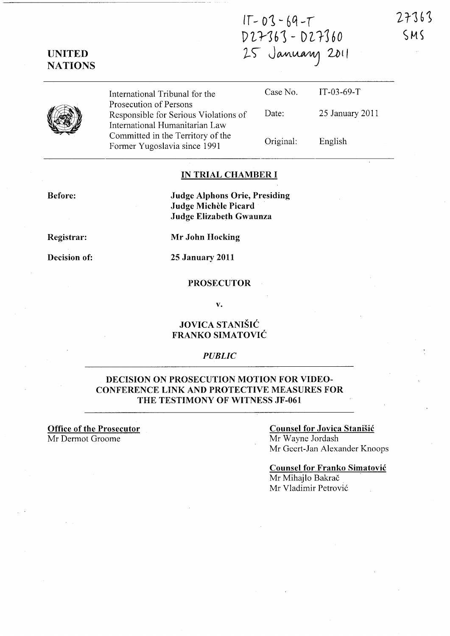27363  $SMS$ 

# $IT - 03 - 69 - T$ p *'L* '}-16 ) - D Z, 116 *0*  25 January 2011

UNITED **NATIONS** 



### IN TRIAL CHAMBER I

Before:

Judge Alphons Orie, Presiding Judge Michele Picard Judge Elizabeth Gwaunza

Registrar:

Decision of:

Mr John Hocking

25 January 2011

### **PROSECUTOR**

v.

### JOVICA STANISIC FRANKO SIMATOVIC

### *PUBLIC*

### DECISION ON PROSECUTION MOTION FOR VIDEO-CONFERENCE LINK AND PROTECTIVE MEASURES FOR THE TESTIMONY OF WITNESS JF-061

### Office of the Prosecutor Mr Dermot Groome

### Counsel for Jovica Stanisic

Mr Wayne Jordash Mr Geert-Jan Alexander Knoops

# Counsel for Franko Simatovic

Mr Mihajlo Bakrač Mr Vladimir Petrović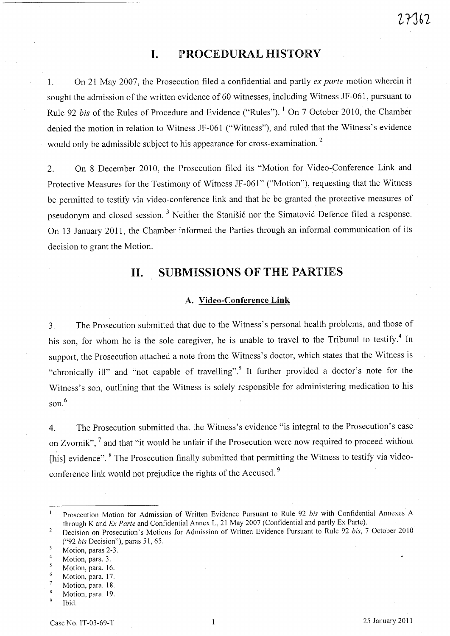## **I. PROCEDURAL HISTORY**

1. On 21 May 2007, the Prosecution filed a confidential and partly *ex parte* motion wherein it sought the admission of the written evidence of 60 witnesses, including Witness JF -061, pursuant to Rule 92 *bis* of the Rules of Procedure and Evidence ("Rules"). <sup>1</sup> On 7 October 2010, the Chamber denied the motion in relation to Witness JF-061 ("Witness"), and ruled that the Witness's evidence would only be admissible subject to his appearance for cross-examination.<sup>2</sup>

2. On 8 December 2010, the Prosecution filed its "Motion for Video-Conference Link and Protective Measures for the Testimony of Witness JF-061" ("Motion"), requesting that the Witness be permitted to testify via video-conference link and that he be granted the protective measures of pseudonym and closed session.<sup>3</sup> Neither the Stanišić nor the Simatović Defence filed a response. On 13 January 2011, the Chamber informed the Parties through an informal communication of its decision to grant the Motion.

### **11. SUBMISSIONS OF THE PARTIES**

### **A. Video-Conference Link**

3. The Prosecution submitted that due to the Witness's personal health problems, and those of his son, for whom he is the sole caregiver, he is unable to travel to the Tribunal to testify.<sup>4</sup> In support, the Prosecution attached a note from the Witness's doctor, which states that the Witness is "chronically ill" and "not capable of travelling".5 It further provided a doctor's note for the Witness's son, outlining that the Witness is solely responsible for administering medication to his son. 6

4. The Prosecution submitted that the Witness's evidence "is integral to the Prosecution's case on Zvornik", <sup>7</sup> and that "it would be unfair if the Prosecution were now required to proceed without [his] evidence". 8 The Prosecution finally submitted that permitting the Witness to testify via videoconference link would not prejudice the rights of the Accused.<sup>9</sup>

Prosecution Motion for Admission of Written Evidence Pursuant to Rule 92 *bis* with Confidential Annexes A  $\mathbf{I}$ through K and *Ex Parte* and Confidential Annex L, 21 May 2007 (Confidential and partly Ex Parte).

Decision on Prosecution's Motions for Admission of Written Evidence Pursuant to Rule 92 *bis,* 7 October 2010 *("92 bis* Decision"), paras 51, 65.

 $\overline{3}$ Motion, paras 2-3.

 $\overline{4}$ Motion, para. 3.

 $\overline{5}$ Motion, para. 16.

 $\ddot{6}$ Motion, para. 17.

 $\overline{7}$ Motion, para. 18.

<sup>8</sup> Motion, para. 19.

 $\overline{9}$ Ibid.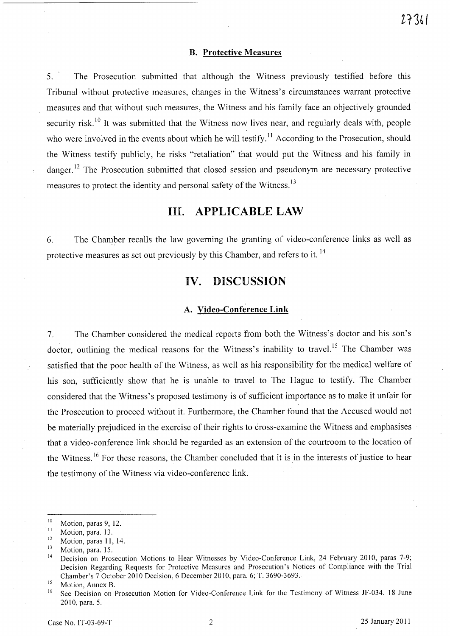### **B.** Protective Measures

5. The Prosecution submitted that although the Witness previously testified before this Tribunal without protective measures, changes in the Witness's circumstances warrant protective measures and that without such measures, the Witness and his family face an objectively grounded security risk.<sup>10</sup> It was submitted that the Witness now lives near, and regularly deals with, people who were involved in the events about which he will testify.<sup>11</sup> According to the Prosecution, should the Witness testify publicly, he risks "retaliation" that would put the Witness and his family in danger.<sup>12</sup> The Prosecution submitted that closed session and pseudonym are necessary protective measures to protect the identity and personal safety of the Witness.<sup>13</sup>

### **Ill. APPLICABLE LAW**

6. The Chamber recalls the law governing the granting of video-conference links as well as protective measures as set out previously by this Chamber, and refers to it. 14

### **IV. DISCUSSION**

#### **A. Video-Conference Link**

7. The Chamber considered the medical reports from both the Witness's doctor and his son's doctor, outlining the medical reasons for the Witness's inability to travel.<sup>15</sup> The Chamber was satisfied that the poor health of the Witness, as well as his responsibility for the medical welfare of his son, sufficiently show that he is unable to travel to The Hague to testify. The Chamber considered that the Witness's proposed testimony is of sufficient importance as to make it unfair for the Prosecution to proceed without it. Furthermore, the Chamber found that the Accused would not be materially prejudiced in the exercise of their rights to cross-examine the Witness and emphasises that a video-conference link should be regarded as an extension of the courtroom to the location of the Witness.<sup>16</sup> For these reasons, the Chamber concluded that it is in the interests of justice to hear the testimony of the Witness via video-conference link.

*l13(' (* 

 $\frac{10}{11}$  Motion, paras 9, 12.

 $\frac{11}{12}$  Motion, para. 13.

<sup>&</sup>lt;sup>12</sup> Motion, paras 11, 14.

 $\frac{13}{14}$  Motion, para. 15.

<sup>14</sup> Decision on Prosecution Motions to Hear Witnesses by Video-Conference Link, 24 February 2010, paras 7-9; Decision Regarding Requests for Protective Measures and Prosecution's Notices of Compliance with the Trial Chamber's 7 October 2010 Decision, 6 December 2010, para. 6; T. 3690-3693.

 $^{15}$  Motion, Annex B.

See Decision on Prosecution Motion for Video-Conference Link for the Testimony of Witness JF-034, 18 June 2010, para. 5.